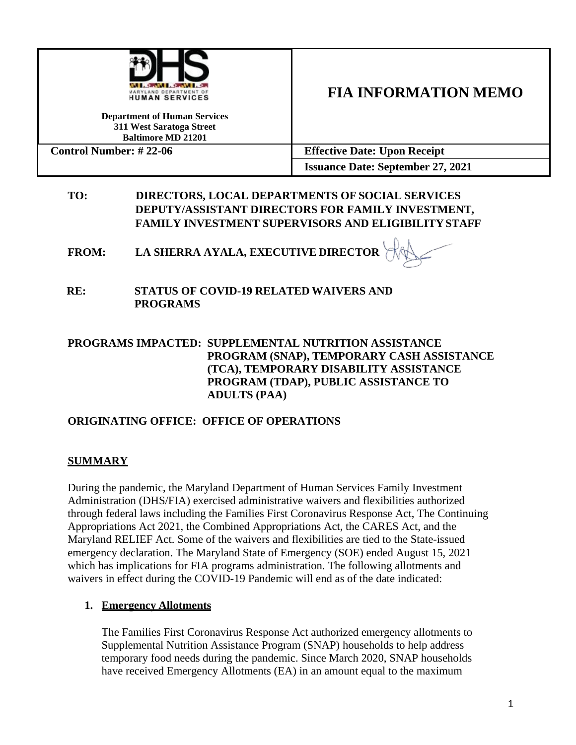

**Department of Human Services 311 West Saratoga Street Baltimore MD 21201**

# **FIA INFORMATION MEMO**

**Control Number: # 22-06 Effective Date: Upon Receipt Issuance Date: September 27, 2021**

#### **TO: DIRECTORS, LOCAL DEPARTMENTS OF SOCIAL SERVICES DEPUTY/ASSISTANT DIRECTORS FOR FAMILY INVESTMENT, FAMILY INVESTMENT SUPERVISORS AND ELIGIBILITYSTAFF**

**FROM: LA SHERRA AYALA, EXECUTIVE DIRECTOR** 

**RE: STATUS OF COVID-19 RELATED WAIVERS AND PROGRAMS**

#### **PROGRAMS IMPACTED: SUPPLEMENTAL NUTRITION ASSISTANCE PROGRAM (SNAP), TEMPORARY CASH ASSISTANCE (TCA), TEMPORARY DISABILITY ASSISTANCE PROGRAM (TDAP), PUBLIC ASSISTANCE TO ADULTS (PAA)**

# **ORIGINATING OFFICE: OFFICE OF OPERATIONS**

# **SUMMARY**

During the pandemic, the Maryland Department of Human Services Family Investment Administration (DHS/FIA) exercised administrative waivers and flexibilities authorized through federal laws including the Families First Coronavirus Response Act, The Continuing Appropriations Act 2021, the Combined Appropriations Act, the CARES Act, and the Maryland RELIEF Act. Some of the waivers and flexibilities are tied to the State-issued emergency declaration. The Maryland State of Emergency (SOE) ended August 15, 2021 which has implications for FIA programs administration. The following allotments and waivers in effect during the COVID-19 Pandemic will end as of the date indicated:

## **1. Emergency Allotments**

The Families First Coronavirus Response Act authorized emergency allotments to Supplemental Nutrition Assistance Program (SNAP) households to help address temporary food needs during the pandemic. Since March 2020, SNAP households have received Emergency Allotments (EA) in an amount equal to the maximum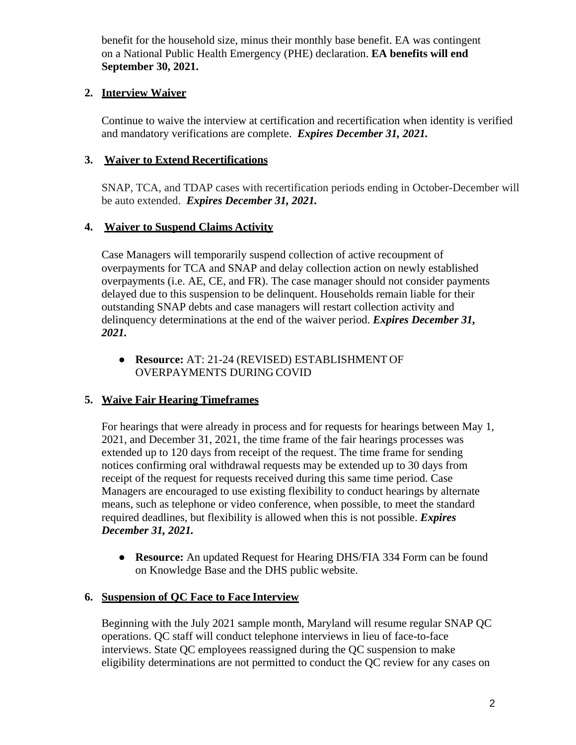benefit for the household size, minus their monthly base benefit. EA was contingent on a National Public Health Emergency (PHE) declaration. **EA benefits will end September 30, 2021.**

## **2. Interview Waiver**

Continue to waive the interview at certification and recertification when identity is verified and mandatory verifications are complete. *Expires December 31, 2021.*

#### **3. Waiver to Extend Recertifications**

SNAP, TCA, and TDAP cases with recertification periods ending in October-December will be auto extended. *Expires December 31, 2021.*

#### **4. Waiver to Suspend Claims Activity**

Case Managers will temporarily suspend collection of active recoupment of overpayments for TCA and SNAP and delay collection action on newly established overpayments (i.e. AE, CE, and FR). The case manager should not consider payments delayed due to this suspension to be delinquent. Households remain liable for their outstanding SNAP debts and case managers will restart collection activity and delinquency determinations at the end of the waiver period. *Expires December 31, 2021.*

● **Resource:** AT: 21-24 (REVISED) ESTABLISHMENT OF OVERPAYMENTS DURING COVID

## **5. Waive Fair Hearing Timeframes**

For hearings that were already in process and for requests for hearings between May 1, 2021, and December 31, 2021, the time frame of the fair hearings processes was extended up to 120 days from receipt of the request. The time frame for sending notices confirming oral withdrawal requests may be extended up to 30 days from receipt of the request for requests received during this same time period. Case Managers are encouraged to use existing flexibility to conduct hearings by alternate means, such as telephone or video conference, when possible, to meet the standard required deadlines, but flexibility is allowed when this is not possible. *Expires December 31, 2021.*

● **Resource:** An updated Request for Hearing DHS/FIA 334 Form can be found on Knowledge Base and the DHS public website.

#### **6. Suspension of QC Face to Face Interview**

Beginning with the July 2021 sample month, Maryland will resume regular SNAP QC operations. QC staff will conduct telephone interviews in lieu of face-to-face interviews. State QC employees reassigned during the QC suspension to make eligibility determinations are not permitted to conduct the QC review for any cases on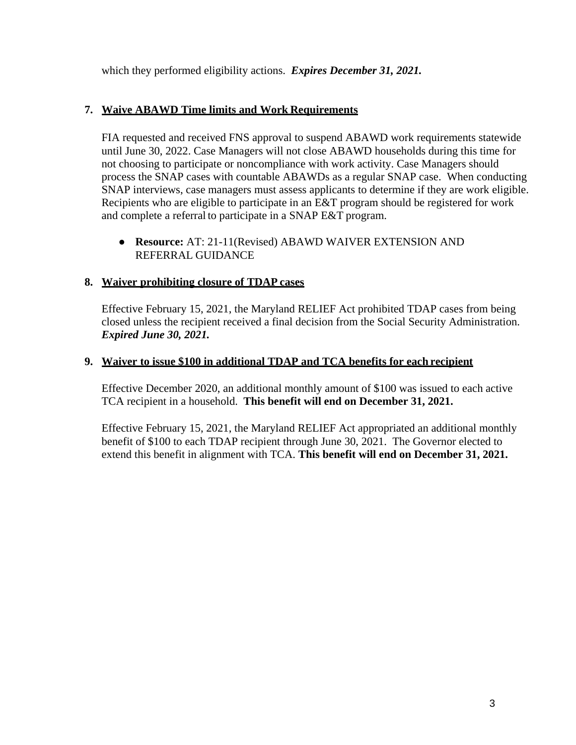which they performed eligibility actions. *Expires December 31, 2021.*

## **7. Waive ABAWD Time limits and Work Requirements**

FIA requested and received FNS approval to suspend ABAWD work requirements statewide until June 30, 2022. Case Managers will not close ABAWD households during this time for not choosing to participate or noncompliance with work activity. Case Managers should process the SNAP cases with countable ABAWDs as a regular SNAP case. When conducting SNAP interviews, case managers must assess applicants to determine if they are work eligible. Recipients who are eligible to participate in an E&T program should be registered for work and complete a referral to participate in a SNAP E&T program.

● **Resource:** AT: 21-11(Revised) ABAWD WAIVER EXTENSION AND REFERRAL GUIDANCE

#### **8. Waiver prohibiting closure of TDAP cases**

Effective February 15, 2021, the Maryland RELIEF Act prohibited TDAP cases from being closed unless the recipient received a final decision from the Social Security Administration. *Expired June 30, 2021.*

#### **9. Waiver to issue \$100 in additional TDAP and TCA benefits for each recipient**

Effective December 2020, an additional monthly amount of \$100 was issued to each active TCA recipient in a household. **This benefit will end on December 31, 2021.**

Effective February 15, 2021, the Maryland RELIEF Act appropriated an additional monthly benefit of \$100 to each TDAP recipient through June 30, 2021. The Governor elected to extend this benefit in alignment with TCA. **This benefit will end on December 31, 2021.**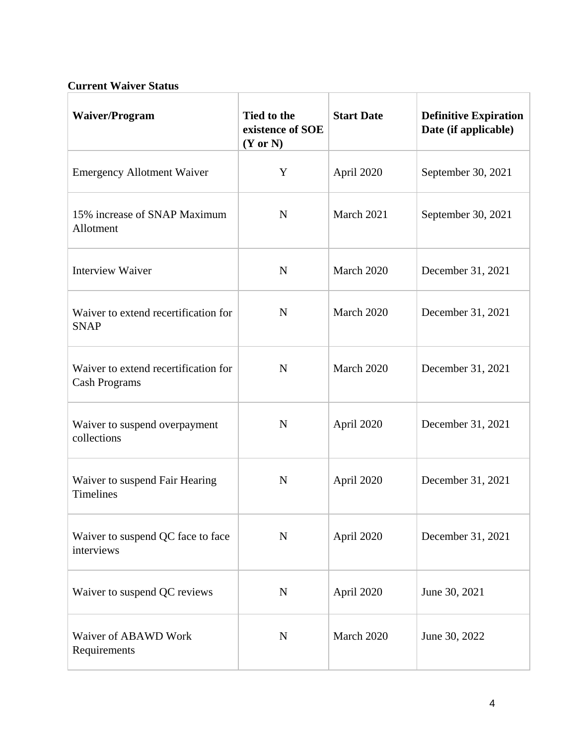#### **Current Waiver Status**

| <b>Waiver/Program</b>                                        | <b>Tied to the</b><br>existence of SOE<br>(Y or N) | <b>Start Date</b> | <b>Definitive Expiration</b><br>Date (if applicable) |
|--------------------------------------------------------------|----------------------------------------------------|-------------------|------------------------------------------------------|
| <b>Emergency Allotment Waiver</b>                            | Y                                                  | April 2020        | September 30, 2021                                   |
| 15% increase of SNAP Maximum<br>Allotment                    | $\mathbf N$                                        | March 2021        | September 30, 2021                                   |
| <b>Interview Waiver</b>                                      | $\mathbf N$                                        | March 2020        | December 31, 2021                                    |
| Waiver to extend recertification for<br><b>SNAP</b>          | $\mathbf N$                                        | March 2020        | December 31, 2021                                    |
| Waiver to extend recertification for<br><b>Cash Programs</b> | $\mathbf N$                                        | March 2020        | December 31, 2021                                    |
| Waiver to suspend overpayment<br>collections                 | $\mathbf N$                                        | April 2020        | December 31, 2021                                    |
| Waiver to suspend Fair Hearing<br><b>Timelines</b>           | $\mathbf N$                                        | April 2020        | December 31, 2021                                    |
| Waiver to suspend QC face to face<br>interviews              | $\mathbf N$                                        | April 2020        | December 31, 2021                                    |
| Waiver to suspend QC reviews                                 | $\mathbf N$                                        | April 2020        | June 30, 2021                                        |
| Waiver of ABAWD Work<br>Requirements                         | $\mathbf N$                                        | March 2020        | June 30, 2022                                        |